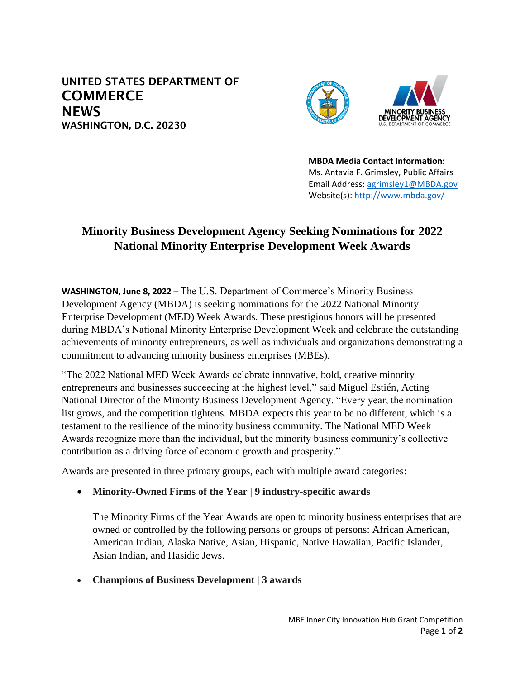## UNITED STATES DEPARTMENT OF **COMMERCE NEWS** WASHINGTON, D.C. 20230





**MBDA Media Contact Information:** Ms. Antavia F. Grimsley, Public Affairs Email Address: [agrimsley1@MBDA.gov](mailto:agrimsley1@MBDA.gov) Website(s):<http://www.mbda.gov/>

## **Minority Business Development Agency Seeking Nominations for 2022 National Minority Enterprise Development Week Awards**

**WASHINGTON, June 8, 2022** – The U.S. Department of Commerce's Minority Business Development Agency (MBDA) is seeking nominations for the 2022 National Minority Enterprise Development (MED) Week Awards. These prestigious honors will be presented during MBDA's National Minority Enterprise Development Week and celebrate the outstanding achievements of minority entrepreneurs, as well as individuals and organizations demonstrating a commitment to advancing minority business enterprises (MBEs).

"The 2022 National MED Week Awards celebrate innovative, bold, creative minority entrepreneurs and businesses succeeding at the highest level," said Miguel Estién, Acting National Director of the Minority Business Development Agency. "Every year, the nomination list grows, and the competition tightens. MBDA expects this year to be no different, which is a testament to the resilience of the minority business community. The National MED Week Awards recognize more than the individual, but the minority business community's collective contribution as a driving force of economic growth and prosperity."

Awards are presented in three primary groups, each with multiple award categories:

• **Minority-Owned Firms of the Year | 9 industry-specific awards**

The Minority Firms of the Year Awards are open to minority business enterprises that are owned or controlled by the following persons or groups of persons: African American, American Indian, Alaska Native, Asian, Hispanic, Native Hawaiian, Pacific Islander, Asian Indian, and Hasidic Jews.

• **Champions of Business Development | 3 awards**